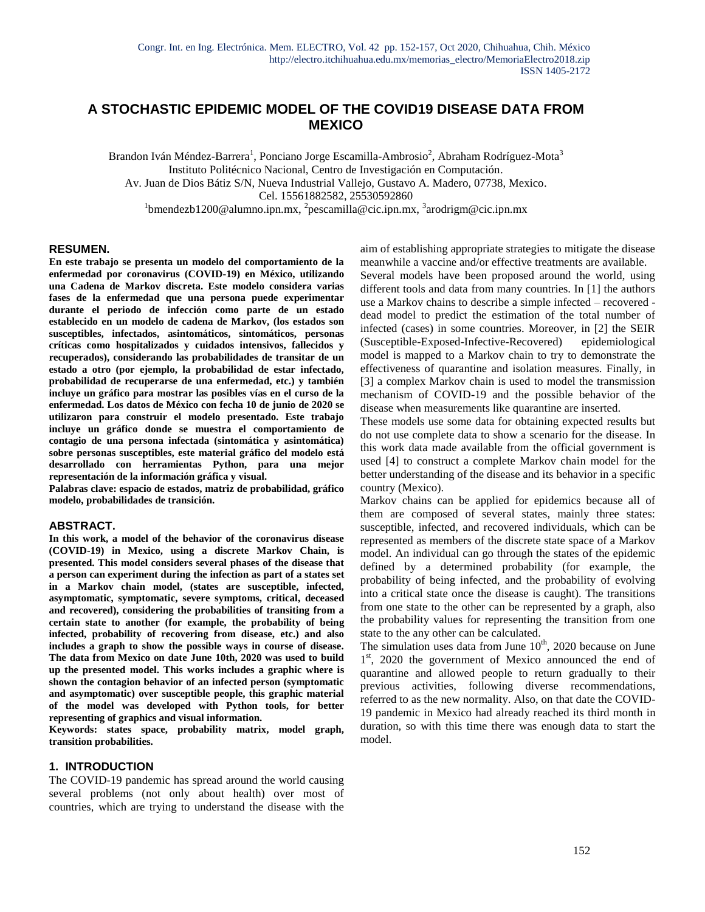# **A STOCHASTIC EPIDEMIC MODEL OF THE COVID19 DISEASE DATA FROM MEXICO**

Brandon Iván Méndez-Barrera<sup>1</sup>, Ponciano Jorge Escamilla-Ambrosio<sup>2</sup>, Abraham Rodríguez-Mota<sup>3</sup> Instituto Politécnico Nacional, Centro de Investigación en Computación. Av. Juan de Dios Bátiz S/N, Nueva Industrial Vallejo, Gustavo A. Madero, 07738, Mexico. Cel. 15561882582, 25530592860 <sup>1</sup>bmendezb1200@alumno.ipn.mx, <sup>2</sup>[pescamilla@cic.ipn.mx,](mailto:2pescamilla@cic.ipn.mx) <sup>3</sup>arodrigm@cic.ipn.mx

#### **RESUMEN.**

**En este trabajo se presenta un modelo del comportamiento de la enfermedad por coronavirus (COVID-19) en México, utilizando una Cadena de Markov discreta. Este modelo considera varias fases de la enfermedad que una persona puede experimentar durante el periodo de infección como parte de un estado establecido en un modelo de cadena de Markov, (los estados son susceptibles, infectados, asintomáticos, sintomáticos, personas críticas como hospitalizados y cuidados intensivos, fallecidos y recuperados), considerando las probabilidades de transitar de un estado a otro (por ejemplo, la probabilidad de estar infectado, probabilidad de recuperarse de una enfermedad, etc.) y también incluye un gráfico para mostrar las posibles vías en el curso de la enfermedad. Los datos de México con fecha 10 de junio de 2020 se utilizaron para construir el modelo presentado. Este trabajo incluye un gráfico donde se muestra el comportamiento de contagio de una persona infectada (sintomática y asintomática) sobre personas susceptibles, este material gráfico del modelo está desarrollado con herramientas Python, para una mejor representación de la información gráfica y visual.**

**Palabras clave: espacio de estados, matriz de probabilidad, gráfico modelo, probabilidades de transición.**

#### **ABSTRACT.**

**In this work, a model of the behavior of the coronavirus disease (COVID-19) in Mexico, using a discrete Markov Chain, is presented. This model considers several phases of the disease that a person can experiment during the infection as part of a states set in a Markov chain model, (states are susceptible, infected, asymptomatic, symptomatic, severe symptoms, critical, deceased and recovered), considering the probabilities of transiting from a certain state to another (for example, the probability of being infected, probability of recovering from disease, etc.) and also includes a graph to show the possible ways in course of disease. The data from Mexico on date June 10th, 2020 was used to build up the presented model. This works includes a graphic where is shown the contagion behavior of an infected person (symptomatic and asymptomatic) over susceptible people, this graphic material of the model was developed with Python tools, for better representing of graphics and visual information.** 

**Keywords: states space, probability matrix, model graph, transition probabilities.**

#### **1. INTRODUCTION**

The COVID-19 pandemic has spread around the world causing several problems (not only about health) over most of countries, which are trying to understand the disease with the aim of establishing appropriate strategies to mitigate the disease meanwhile a vaccine and/or effective treatments are available. Several models have been proposed around the world, using different tools and data from many countries. In [1] the authors use a Markov chains to describe a simple infected – recovered dead model to predict the estimation of the total number of infected (cases) in some countries. Moreover, in [2] the SEIR (Susceptible-Exposed-Infective-Recovered) epidemiological model is mapped to a Markov chain to try to demonstrate the effectiveness of quarantine and isolation measures. Finally, in

[3] a complex Markov chain is used to model the transmission mechanism of COVID-19 and the possible behavior of the disease when measurements like quarantine are inserted.

These models use some data for obtaining expected results but do not use complete data to show a scenario for the disease. In this work data made available from the official government is used [4] to construct a complete Markov chain model for the better understanding of the disease and its behavior in a specific country (Mexico).

Markov chains can be applied for epidemics because all of them are composed of several states, mainly three states: susceptible, infected, and recovered individuals, which can be represented as members of the discrete state space of a Markov model. An individual can go through the states of the epidemic defined by a determined probability (for example, the probability of being infected, and the probability of evolving into a critical state once the disease is caught). The transitions from one state to the other can be represented by a graph, also the probability values for representing the transition from one state to the any other can be calculated.

The simulation uses data from June  $10<sup>th</sup>$ , 2020 because on June 1<sup>st</sup>, 2020 the government of Mexico announced the end of quarantine and allowed people to return gradually to their previous activities, following diverse recommendations, referred to as the new normality. Also, on that date the COVID-19 pandemic in Mexico had already reached its third month in duration, so with this time there was enough data to start the model.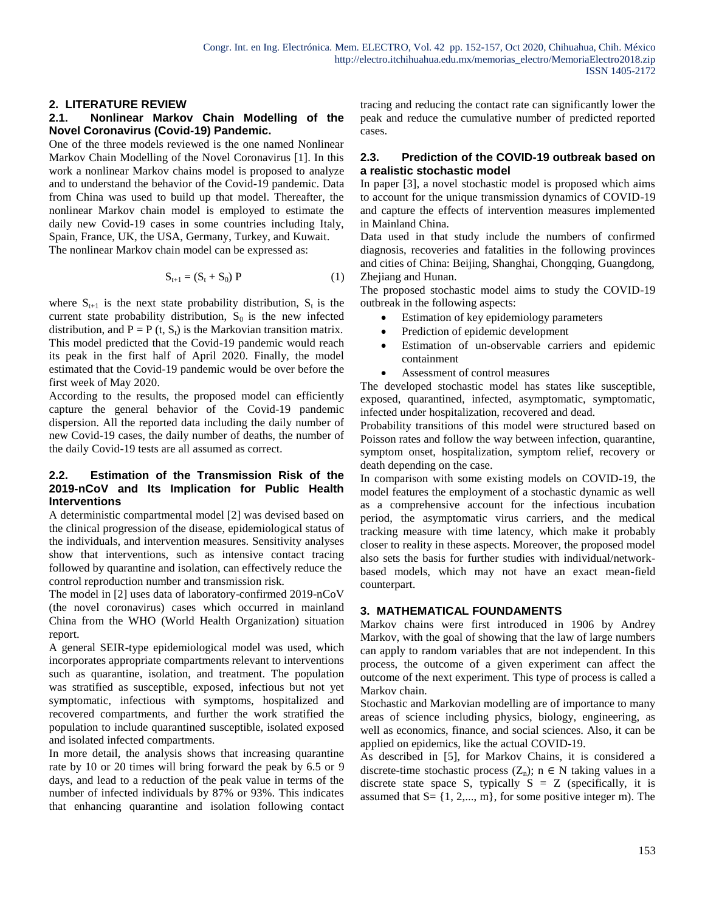### **2. LITERATURE REVIEW**

### **2.1. Nonlinear Markov Chain Modelling of the Novel Coronavirus (Covid-19) Pandemic.**

One of the three models reviewed is the one named Nonlinear Markov Chain Modelling of the Novel Coronavirus [1]. In this work a nonlinear Markov chains model is proposed to analyze and to understand the behavior of the Covid-19 pandemic. Data from China was used to build up that model. Thereafter, the nonlinear Markov chain model is employed to estimate the daily new Covid-19 cases in some countries including Italy, Spain, France, UK, the USA, Germany, Turkey, and Kuwait. The nonlinear Markov chain model can be expressed as:

$$
S_{t+1} = (S_t + S_0) P
$$
 (1)

where  $S_{t+1}$  is the next state probability distribution,  $S_t$  is the current state probability distribution,  $S_0$  is the new infected distribution, and  $P = P(t, S_t)$  is the Markovian transition matrix. This model predicted that the Covid-19 pandemic would reach its peak in the first half of April 2020. Finally, the model estimated that the Covid-19 pandemic would be over before the first week of May 2020.

According to the results, the proposed model can efficiently capture the general behavior of the Covid-19 pandemic dispersion. All the reported data including the daily number of new Covid-19 cases, the daily number of deaths, the number of the daily Covid-19 tests are all assumed as correct.

### **2.2. Estimation of the Transmission Risk of the 2019-nCoV and Its Implication for Public Health Interventions**

A deterministic compartmental model [2] was devised based on the clinical progression of the disease, epidemiological status of the individuals, and intervention measures. Sensitivity analyses show that interventions, such as intensive contact tracing followed by quarantine and isolation, can effectively reduce the control reproduction number and transmission risk.

The model in [2] uses data of laboratory-confirmed 2019-nCoV (the novel coronavirus) cases which occurred in mainland China from the WHO (World Health Organization) situation report.

A general SEIR-type epidemiological model was used, which incorporates appropriate compartments relevant to interventions such as quarantine, isolation, and treatment. The population was stratified as susceptible, exposed, infectious but not yet symptomatic, infectious with symptoms, hospitalized and recovered compartments, and further the work stratified the population to include quarantined susceptible, isolated exposed and isolated infected compartments.

In more detail, the analysis shows that increasing quarantine rate by 10 or 20 times will bring forward the peak by 6.5 or 9 days, and lead to a reduction of the peak value in terms of the number of infected individuals by 87% or 93%. This indicates that enhancing quarantine and isolation following contact tracing and reducing the contact rate can significantly lower the peak and reduce the cumulative number of predicted reported cases.

#### **2.3. Prediction of the COVID-19 outbreak based on a realistic stochastic model**

In paper [3], a novel stochastic model is proposed which aims to account for the unique transmission dynamics of COVID-19 and capture the effects of intervention measures implemented in Mainland China.

Data used in that study include the numbers of confirmed diagnosis, recoveries and fatalities in the following provinces and cities of China: Beijing, Shanghai, Chongqing, Guangdong, Zhejiang and Hunan.

The proposed stochastic model aims to study the COVID-19 outbreak in the following aspects:

- Estimation of key epidemiology parameters
- Prediction of epidemic development
- Estimation of un-observable carriers and epidemic containment
- Assessment of control measures

The developed stochastic model has states like susceptible, exposed, quarantined, infected, asymptomatic, symptomatic, infected under hospitalization, recovered and dead.

Probability transitions of this model were structured based on Poisson rates and follow the way between infection, quarantine, symptom onset, hospitalization, symptom relief, recovery or death depending on the case.

In comparison with some existing models on COVID-19, the model features the employment of a stochastic dynamic as well as a comprehensive account for the infectious incubation period, the asymptomatic virus carriers, and the medical tracking measure with time latency, which make it probably closer to reality in these aspects. Moreover, the proposed model also sets the basis for further studies with individual/networkbased models, which may not have an exact mean-field counterpart.

### **3. MATHEMATICAL FOUNDAMENTS**

Markov chains were first introduced in 1906 by Andrey Markov, with the goal of showing that the law of large numbers can apply to random variables that are not independent. In this process, the outcome of a given experiment can affect the outcome of the next experiment. This type of process is called a Markov chain.

Stochastic and Markovian modelling are of importance to many areas of science including physics, biology, engineering, as well as economics, finance, and social sciences. Also, it can be applied on epidemics, like the actual COVID-19.

As described in [5], for Markov Chains, it is considered a discrete-time stochastic process  $(Z_n)$ ; n  $\in$  N taking values in a discrete state space S, typically  $S = Z$  (specifically, it is assumed that  $S = \{1, 2, \ldots, m\}$ , for some positive integer m). The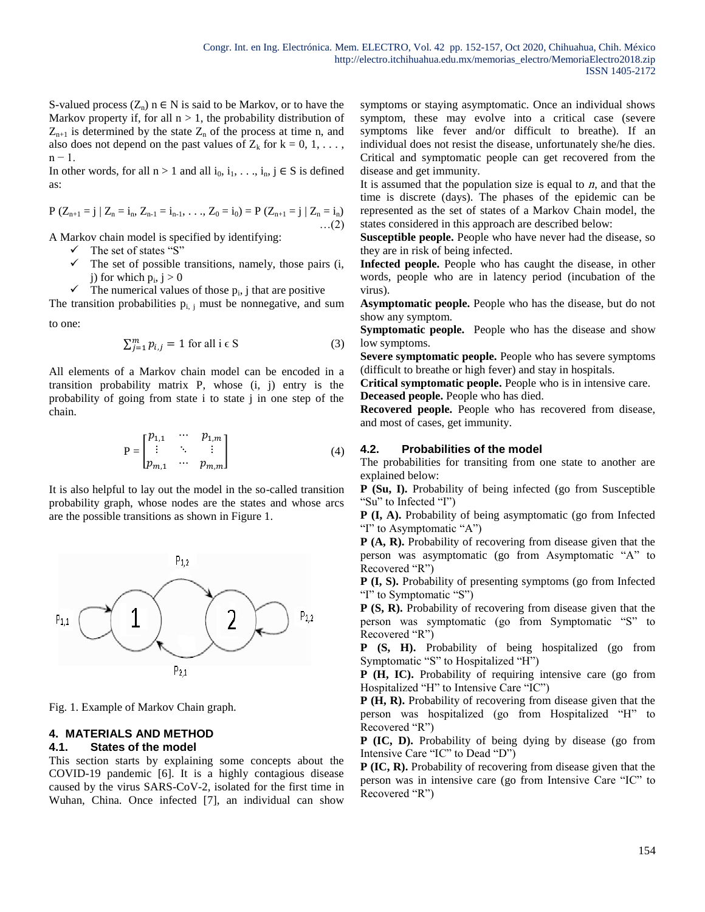S-valued process  $(Z_n)$  n  $\in N$  is said to be Markov, or to have the Markov property if, for all  $n > 1$ , the probability distribution of  $Z_{n+1}$  is determined by the state  $Z_n$  of the process at time n, and also does not depend on the past values of  $Z_k$  for  $k = 0, 1, \ldots$ , n − 1.

In other words, for all  $n > 1$  and all  $i_0, i_1, \ldots, i_n, j \in S$  is defined as:

$$
P(Z_{n+1} = j | Z_n = i_n, Z_{n-1} = i_{n-1}, ..., Z_0 = i_0) = P(Z_{n+1} = j | Z_n = i_n) \dots (2)
$$

A Markov chain model is specified by identifying:

- $\checkmark$  The set of states "S"
- $\checkmark$  The set of possible transitions, namely, those pairs (i, j) for which  $p_i$ ,  $j > 0$
- $\checkmark$  The numerical values of those  $p_i$ , j that are positive

The transition probabilities  $p_{i,j}$  must be nonnegative, and sum

to one:

$$
\sum_{j=1}^{m} p_{i,j} = 1 \text{ for all } i \in S \tag{3}
$$

All elements of a Markov chain model can be encoded in a transition probability matrix P, whose (i, j) entry is the probability of going from state i to state j in one step of the chain.

$$
P = \begin{bmatrix} p_{1,1} & \cdots & p_{1,m} \\ \vdots & \ddots & \vdots \\ p_{m,1} & \cdots & p_{m,m} \end{bmatrix}
$$
 (4)

It is also helpful to lay out the model in the so-called transition probability graph, whose nodes are the states and whose arcs are the possible transitions as shown in Figure 1.



Fig. 1. Example of Markov Chain graph.

### **4. MATERIALS AND METHOD 4.1. States of the model**

This section starts by explaining some concepts about the COVID-19 pandemic [6]. It is a highly contagious disease caused by the virus SARS-CoV-2, isolated for the first time in Wuhan, China. Once infected [7], an individual can show symptoms or staying asymptomatic. Once an individual shows symptom, these may evolve into a critical case (severe symptoms like fever and/or difficult to breathe). If an individual does not resist the disease, unfortunately she/he dies. Critical and symptomatic people can get recovered from the disease and get immunity.

It is assumed that the population size is equal to  $n$ , and that the time is discrete (days). The phases of the epidemic can be represented as the set of states of a Markov Chain model, the states considered in this approach are described below:

**Susceptible people.** People who have never had the disease, so they are in risk of being infected.

**Infected people.** People who has caught the disease, in other words, people who are in latency period (incubation of the virus).

**Asymptomatic people.** People who has the disease, but do not show any symptom.

**Symptomatic people.** People who has the disease and show low symptoms.

**Severe symptomatic people.** People who has severe symptoms (difficult to breathe or high fever) and stay in hospitals.

**Critical symptomatic people.** People who is in intensive care. **Deceased people.** People who has died.

**Recovered people.** People who has recovered from disease, and most of cases, get immunity.

## **4.2. Probabilities of the model**

The probabilities for transiting from one state to another are explained below:

**P (Su, I).** Probability of being infected (go from Susceptible "Su" to Infected "I")

**P (I, A).** Probability of being asymptomatic (go from Infected "I" to Asymptomatic "A")

**P (A, R).** Probability of recovering from disease given that the person was asymptomatic (go from Asymptomatic "A" to Recovered "R")

**P (I, S).** Probability of presenting symptoms (go from Infected "I" to Symptomatic "S")

**P (S, R).** Probability of recovering from disease given that the person was symptomatic (go from Symptomatic "S" to Recovered "R")

**P (S, H).** Probability of being hospitalized (go from Symptomatic "S" to Hospitalized "H")

**P (H, IC).** Probability of requiring intensive care (go from Hospitalized "H" to Intensive Care "IC")

**P (H, R).** Probability of recovering from disease given that the person was hospitalized (go from Hospitalized "H" to Recovered "R")

**P (IC, D).** Probability of being dying by disease (go from Intensive Care "IC" to Dead "D")

**P (IC, R).** Probability of recovering from disease given that the person was in intensive care (go from Intensive Care "IC" to Recovered "R")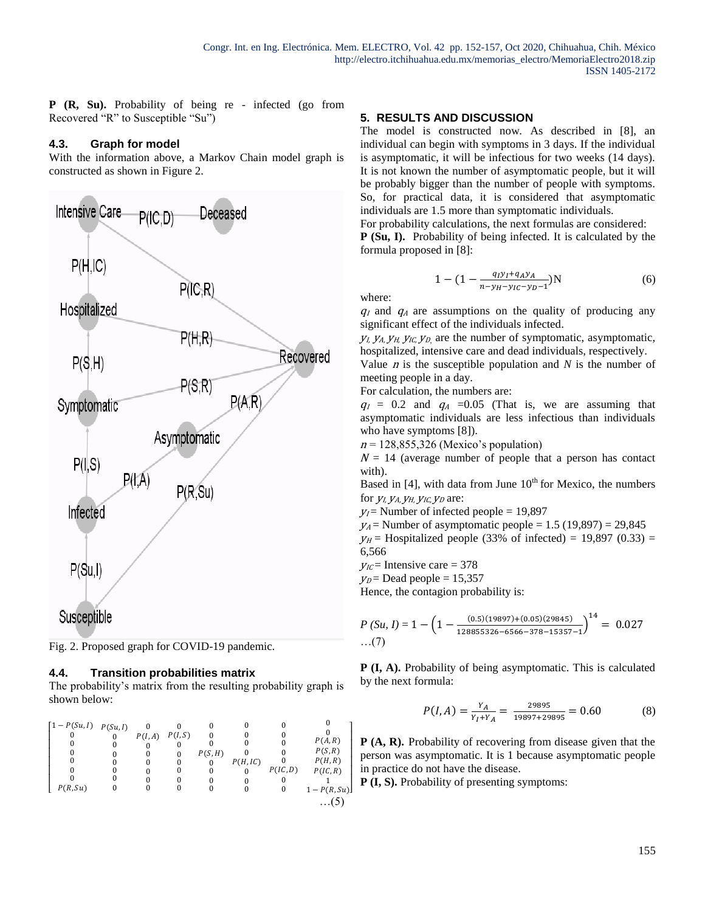**P (R, Su).** Probability of being re - infected (go from Recovered "R" to Susceptible "Su")

### **4.3. Graph for model**

With the information above, a Markov Chain model graph is constructed as shown in Figure 2.





#### **4.4. Transition probabilities matrix**

The probability's matrix from the resulting probability graph is shown below:

| $\lceil 1 - P(Su, I) \rceil$ $P(Su, I)$ | P(I, A) | P(I, S) | P(S, H) | P(H,IC) | P(IC, D) | P(A,R)<br>P(S,R)<br>P(H,R)<br>P(IC, R) |
|-----------------------------------------|---------|---------|---------|---------|----------|----------------------------------------|
| P(R, Su)                                |         |         |         |         | O        | $1 - P(R, Su)$<br>.                    |

### **5. RESULTS AND DISCUSSION**

The model is constructed now. As described in [8], an individual can begin with symptoms in 3 days. If the individual is asymptomatic, it will be infectious for two weeks (14 days). It is not known the number of asymptomatic people, but it will be probably bigger than the number of people with symptoms. So, for practical data, it is considered that asymptomatic individuals are 1.5 more than symptomatic individuals.

For probability calculations, the next formulas are considered: **P (Su, I).** Probability of being infected. It is calculated by the formula proposed in [8]:

$$
1 - (1 - \frac{q_1 y_1 + q_A y_A}{n - y_H - y_{1C} - y_D - 1})N\tag{6}
$$

where:

 $q_1$  and  $q_2$  are assumptions on the quality of producing any significant effect of the individuals infected.

 $y_l$ ,  $y_{A}$ ,  $y_{H}$ ,  $y_{I}$ ,  $y_{D}$ , are the number of symptomatic, asymptomatic, hospitalized, intensive care and dead individuals, respectively.

Value <sup>n</sup> is the susceptible population and *N* is the number of meeting people in a day.

For calculation, the numbers are:

 $q_1 = 0.2$  and  $q_4 = 0.05$  (That is, we are assuming that asymptomatic individuals are less infectious than individuals who have symptoms [8]).

 $n = 128,855,326$  (Mexico's population)

 $N = 14$  (average number of people that a person has contact with).

Based in  $[4]$ , with data from June  $10<sup>th</sup>$  for Mexico, the numbers for  $V<sub>L</sub> V<sub>A</sub> V<sub>H</sub> V<sub>IC</sub> V<sub>D</sub>$  are:

 $y_I$  Number of infected people = 19,897

 $y_A$  = Number of asymptomatic people = 1.5 (19,897) = 29,845

 $y_H$  = Hospitalized people (33% of infected) = 19,897 (0.33) = 6,566

 $y_{\text{IC}}$ = Intensive care = 378

 $y_D$  = Dead people = 15,357

Hence, the contagion probability is:

$$
P(Su, I) = 1 - \left(1 - \frac{(0.5)(19897) + (0.05)(29845)}{128855326 - 6566 - 378 - 15357 - 1}\right)^{14} = 0.027
$$
...(7)

**P (I, A).** Probability of being asymptomatic. This is calculated by the next formula:

$$
P(I, A) = \frac{Y_A}{Y_I + Y_A} = \frac{29895}{19897 + 29895} = 0.60
$$
 (8)

**P (A, R).** Probability of recovering from disease given that the person was asymptomatic. It is 1 because asymptomatic people in practice do not have the disease.

**P** (**I**, **S**). Probability of presenting symptoms: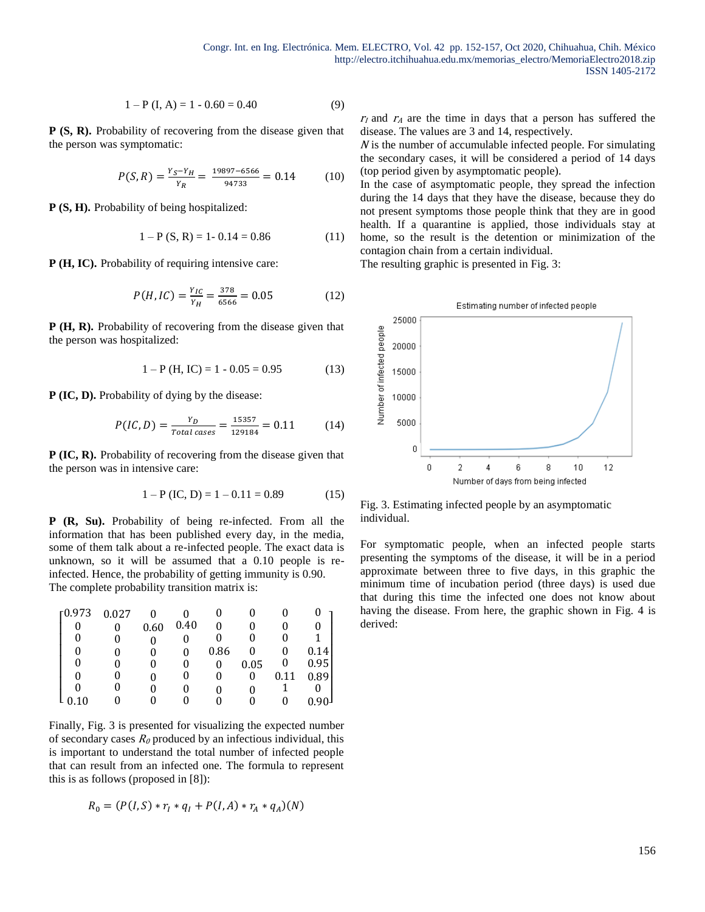$$
1 - P(I, A) = 1 - 0.60 = 0.40
$$
 (9)

**P (S, R).** Probability of recovering from the disease given that the person was symptomatic:

$$
P(S,R) = \frac{Y_S - Y_H}{Y_R} = \frac{19897 - 6566}{94733} = 0.14\tag{10}
$$

**P (S, H).** Probability of being hospitalized:

$$
1 - P(S, R) = 1 - 0.14 = 0.86
$$
 (11)

**P** (**H**, **IC**). Probability of requiring intensive care:

$$
P(H, IC) = \frac{Y_{IC}}{Y_H} = \frac{378}{6566} = 0.05
$$
 (12)

**P (H, R).** Probability of recovering from the disease given that the person was hospitalized:

$$
1 - P(H, IC) = 1 - 0.05 = 0.95
$$
 (13)

**P (IC, D).** Probability of dying by the disease:

$$
P(IC, D) = \frac{Y_D}{Total\ cases} = \frac{15357}{129184} = 0.11\tag{14}
$$

**P (IC, R).** Probability of recovering from the disease given that the person was in intensive care:

$$
1 - P (IC, D) = 1 - 0.11 = 0.89
$$
 (15)

**P (R, Su).** Probability of being re-infected. From all the information that has been published every day, in the media, some of them talk about a re-infected people. The exact data is unknown, so it will be assumed that a 0.10 people is reinfected. Hence, the probability of getting immunity is 0.90. The complete probability transition matrix is:

| r0.973 | 0.027 |      |      |      |      |      |      |
|--------|-------|------|------|------|------|------|------|
|        |       | 0.60 | 0.40 |      |      |      |      |
|        |       |      |      |      |      |      |      |
|        |       |      |      | 0.86 |      |      | 0.14 |
|        |       |      |      |      | 0.05 |      | 0.95 |
|        |       |      |      |      |      | 0.11 | 0.89 |
|        |       |      |      |      |      |      |      |
|        |       |      |      |      |      |      | 01   |

Finally, Fig. 3 is presented for visualizing the expected number of secondary cases  $R_0$  produced by an infectious individual, this is important to understand the total number of infected people that can result from an infected one. The formula to represent this is as follows (proposed in [8]):

$$
R_0 = (P(I, S) * r_I * q_I + P(I, A) * r_A * q_A)(N)
$$

 $r_1$  and  $r_2$  are the time in days that a person has suffered the disease. The values are 3 and 14, respectively.

 $N$  is the number of accumulable infected people. For simulating the secondary cases, it will be considered a period of 14 days (top period given by asymptomatic people).

In the case of asymptomatic people, they spread the infection during the 14 days that they have the disease, because they do not present symptoms those people think that they are in good health. If a quarantine is applied, those individuals stay at home, so the result is the detention or minimization of the contagion chain from a certain individual.

The resulting graphic is presented in Fig. 3:



Fig. 3. Estimating infected people by an asymptomatic individual.

For symptomatic people, when an infected people starts presenting the symptoms of the disease, it will be in a period approximate between three to five days, in this graphic the minimum time of incubation period (three days) is used due that during this time the infected one does not know about having the disease. From here, the graphic shown in Fig. 4 is derived: